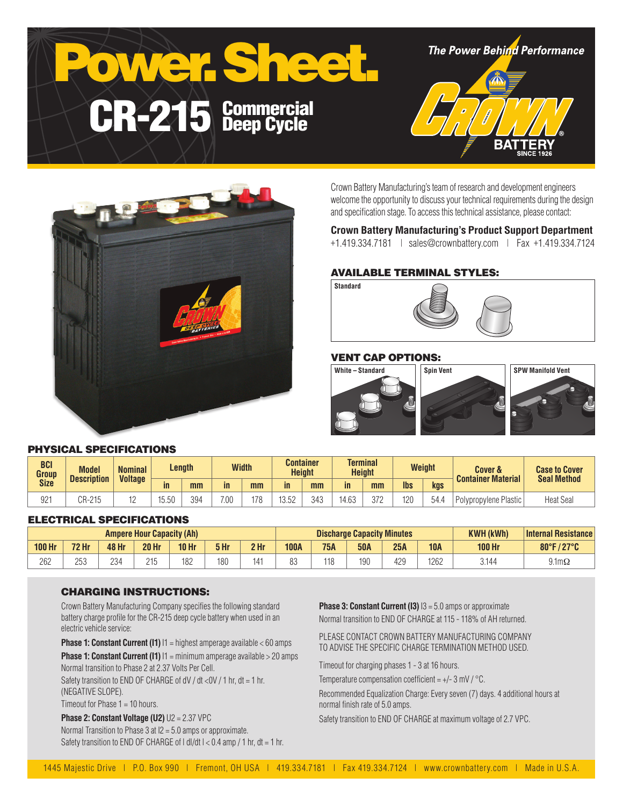



Crown Battery Manufacturing's team of research and development engineers welcome the opportunity to discuss your technical requirements during the design and specification stage. To access this technical assistance, please contact:

# **Crown Battery Manufacturing's Product Support Department**

+1.419.334.7181 | sales@crownbattery.com | Fax +1.419.334.7124

## AVAILABLE TERMINAL STYLES:



## VENT CAP OPTIONS:



#### PHYSICAL SPECIFICATIONS

| <b>BCI</b><br>Group | <b>Model</b><br><b>Description</b> | <b>Nominal</b><br><b>Voltage</b> | Length      |     | <b>Width</b> |     | Container<br><b>Height</b> |     | <b>Terminal</b><br><b>Height</b> |     | <b>Weight</b> |      | <b>Cover &amp;</b><br><b>Container Material</b> | <b>Case to Cover</b><br><b>Seal Method</b> |
|---------------------|------------------------------------|----------------------------------|-------------|-----|--------------|-----|----------------------------|-----|----------------------------------|-----|---------------|------|-------------------------------------------------|--------------------------------------------|
| <b>Size</b>         |                                    |                                  | in          | mm  | in.          | mm  | in                         | mm  | in.                              | mm  | <b>lbs</b>    | kgs  |                                                 |                                            |
| 92 <sup>4</sup>     | CR-215                             | ⊢                                | 550<br>U.UL | 394 | 7.00         | 178 | 13.52                      | 343 | 4.63                             | 372 | 120           | 54.4 | Polypropylene Plastic                           | <b>Heat Seal</b>                           |

## ELECTRICAL SPECIFICATIONS

| <b>Ampere Hour Capacity (Ah)</b> |              |              |              |                  |      | <b>Discharge Capacity Minutes</b> |             |            |            |     | <b>KWH (kWh)</b> | Internal Resistance |                           |
|----------------------------------|--------------|--------------|--------------|------------------|------|-----------------------------------|-------------|------------|------------|-----|------------------|---------------------|---------------------------|
| <b>100 Hr</b>                    | <b>72 Hr</b> | <b>48 Hr</b> | <b>20 Hr</b> | 10 <sub>hr</sub> | 5 Hr | 2 Hr                              | <b>100A</b> | <b>75A</b> | <b>50A</b> | 25A | <b>10A</b>       | <b>100 Hr</b>       | 80°F/27°C<br>$\mathbf{Z}$ |
| 262                              | つにつ<br>LUU   | 23/<br>ZJ-   | 215          | 182              | 180  | 141                               |             | 118        | 190        | 429 | 1262             | 3.144               | $9.1 \text{m}\Omega$      |

#### CHARGING INSTRUCTIONS:

Crown Battery Manufacturing Company specifies the following standard battery charge profile for the CR-215 deep cycle battery when used in an electric vehicle service:

**Phase 1: Constant Current (I1)**  $11$  = highest amperage available < 60 amps

**Phase 1: Constant Current (I1)** I1 = minimum amperage available > 20 amps Normal transition to Phase 2 at 2.37 Volts Per Cell.

Safety transition to END OF CHARGE of dV / dt <0V / 1 hr, dt = 1 hr, (NEGATIVE SLOPE).

Timeout for Phase 1 = 10 hours.

**Phase 2: Constant Voltage (U2)** U2 = 2.37 VPC Normal Transition to Phase 3 at I2 = 5.0 amps or approximate. Safety transition to END OF CHARGE of  $| d|/dt$   $| < 0.4$  amp  $/ 1$  hr,  $dt = 1$  hr. **Phase 3: Constant Current (I3)**  $13 = 5.0$  amps or approximate Normal transition to END OF CHARGE at 115 - 118% of AH returned.

PLEASE CONTACT CROWN BATTERY MANUFACTURING COMPANY TO ADVISE THE SPECIFIC CHARGE TERMINATION METHOD USED.

Timeout for charging phases 1 - 3 at 16 hours.

Temperature compensation coefficient =  $+/- 3$  mV  $/$  °C.

Recommended Equalization Charge: Every seven (7) days. 4 additional hours at normal finish rate of 5.0 amps.

Safety transition to END OF CHARGE at maximum voltage of 2.7 VPC.